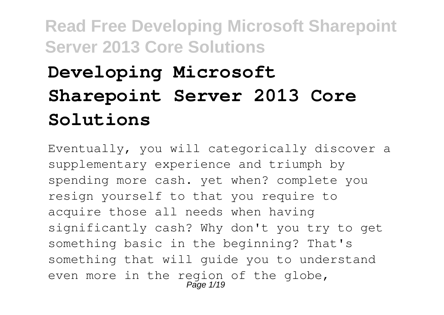# **Developing Microsoft Sharepoint Server 2013 Core Solutions**

Eventually, you will categorically discover a supplementary experience and triumph by spending more cash. yet when? complete you resign yourself to that you require to acquire those all needs when having significantly cash? Why don't you try to get something basic in the beginning? That's something that will guide you to understand even more in the region of the globe, Page 1/19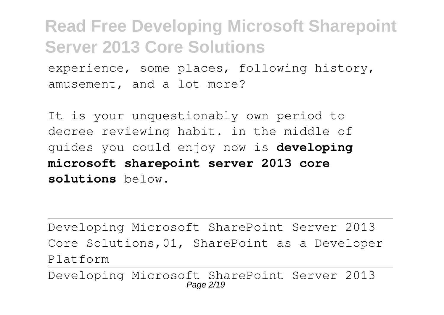experience, some places, following history, amusement, and a lot more?

It is your unquestionably own period to decree reviewing habit. in the middle of guides you could enjoy now is **developing microsoft sharepoint server 2013 core solutions** below.

Developing Microsoft SharePoint Server 2013 Core Solutions,01, SharePoint as a Developer Platform

Developing Microsoft SharePoint Server 2013 Page 2/19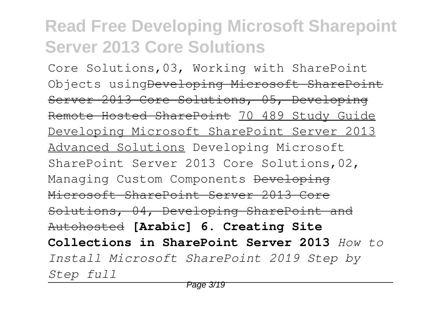Core Solutions,03, Working with SharePoint Objects using<del>Developing Microsoft SharePoint</del> Server 2013 Core Solutions, 05, Developing Remote Hosted SharePoint 70 489 Study Guide Developing Microsoft SharePoint Server 2013 Advanced Solutions Developing Microsoft SharePoint Server 2013 Core Solutions,02, Managing Custom Components Developing Microsoft SharePoint Server 2013 Core Solutions, 04, Developing SharePoint and Autohosted **[Arabic] 6. Creating Site Collections in SharePoint Server 2013** *How to Install Microsoft SharePoint 2019 Step by Step full*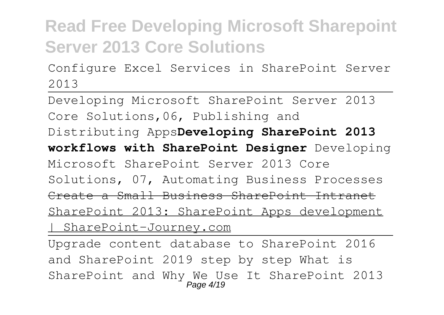Configure Excel Services in SharePoint Server 2013

Developing Microsoft SharePoint Server 2013 Core Solutions,06, Publishing and Distributing Apps**Developing SharePoint 2013 workflows with SharePoint Designer** Developing Microsoft SharePoint Server 2013 Core Solutions, 07, Automating Business Processes Create a Small Business SharePoint Intranet SharePoint 2013: SharePoint Apps development | SharePoint-Journey.com Upgrade content database to SharePoint 2016

and SharePoint 2019 step by step What is SharePoint and Why We Use It SharePoint 2013 Page 4/19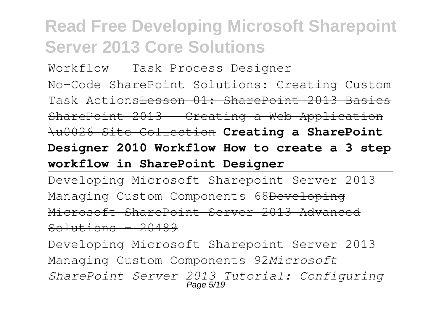Workflow - Task Process Designer

No-Code SharePoint Solutions: Creating Custom Task Actions<del>Lesson 01: SharePoint 2013 Basics</del>

SharePoint 2013 - Creating a Web Application

\u0026 Site Collection **Creating a SharePoint**

#### **Designer 2010 Workflow How to create a 3 step workflow in SharePoint Designer**

Developing Microsoft Sharepoint Server 2013 Managing Custom Components 68Developing Microsoft SharePoint Server 2013 Advanced  $Solution - 20489$ 

Developing Microsoft Sharepoint Server 2013 Managing Custom Components 92*Microsoft SharePoint Server 2013 Tutorial: Configuring* Page 5/19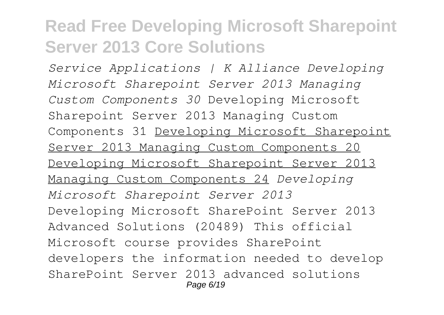*Service Applications | K Alliance Developing Microsoft Sharepoint Server 2013 Managing Custom Components 30* Developing Microsoft Sharepoint Server 2013 Managing Custom Components 31 Developing Microsoft Sharepoint Server 2013 Managing Custom Components 20 Developing Microsoft Sharepoint Server 2013 Managing Custom Components 24 *Developing Microsoft Sharepoint Server 2013* Developing Microsoft SharePoint Server 2013 Advanced Solutions (20489) This official Microsoft course provides SharePoint developers the information needed to develop SharePoint Server 2013 advanced solutions Page 6/19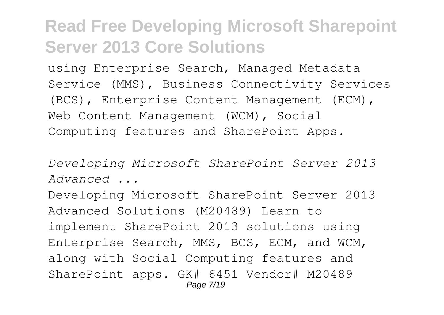using Enterprise Search, Managed Metadata Service (MMS), Business Connectivity Services (BCS), Enterprise Content Management (ECM), Web Content Management (WCM), Social Computing features and SharePoint Apps.

*Developing Microsoft SharePoint Server 2013 Advanced ...*

Developing Microsoft SharePoint Server 2013 Advanced Solutions (M20489) Learn to implement SharePoint 2013 solutions using Enterprise Search, MMS, BCS, ECM, and WCM, along with Social Computing features and SharePoint apps. GK# 6451 Vendor# M20489 Page 7/19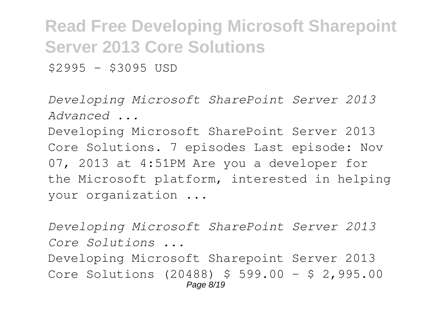$$2995 - $3095$  USD

*Developing Microsoft SharePoint Server 2013 Advanced ...*

Developing Microsoft SharePoint Server 2013 Core Solutions. 7 episodes Last episode: Nov 07, 2013 at 4:51PM Are you a developer for the Microsoft platform, interested in helping your organization ...

*Developing Microsoft SharePoint Server 2013 Core Solutions ...* Developing Microsoft Sharepoint Server 2013 Core Solutions (20488) \$ 599.00 – \$ 2,995.00 Page 8/19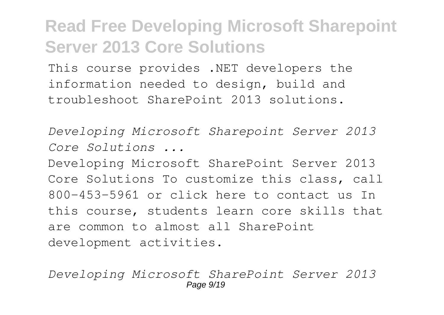This course provides .NET developers the information needed to design, build and troubleshoot SharePoint 2013 solutions.

*Developing Microsoft Sharepoint Server 2013 Core Solutions ...*

Developing Microsoft SharePoint Server 2013 Core Solutions To customize this class, call 800-453-5961 or click here to contact us In this course, students learn core skills that are common to almost all SharePoint development activities.

*Developing Microsoft SharePoint Server 2013* Page  $9/19$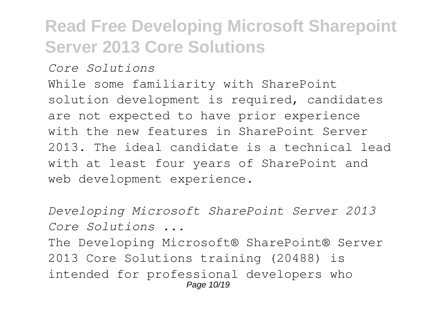#### *Core Solutions*

While some familiarity with SharePoint solution development is required, candidates are not expected to have prior experience with the new features in SharePoint Server 2013. The ideal candidate is a technical lead with at least four years of SharePoint and web development experience.

*Developing Microsoft SharePoint Server 2013 Core Solutions ...*

The Developing Microsoft® SharePoint® Server 2013 Core Solutions training (20488) is intended for professional developers who Page 10/19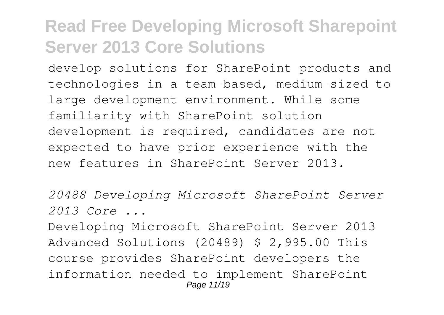develop solutions for SharePoint products and technologies in a team-based, medium-sized to large development environment. While some familiarity with SharePoint solution development is required, candidates are not expected to have prior experience with the new features in SharePoint Server 2013.

*20488 Developing Microsoft SharePoint Server 2013 Core ...*

Developing Microsoft SharePoint Server 2013 Advanced Solutions (20489) \$ 2,995.00 This course provides SharePoint developers the information needed to implement SharePoint Page 11/19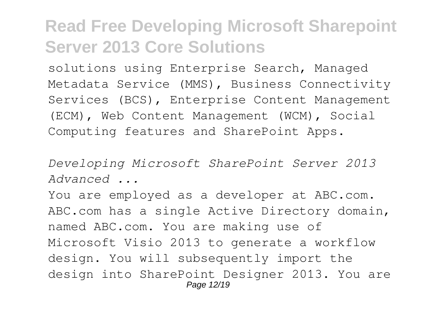solutions using Enterprise Search, Managed Metadata Service (MMS), Business Connectivity Services (BCS), Enterprise Content Management (ECM), Web Content Management (WCM), Social Computing features and SharePoint Apps.

*Developing Microsoft SharePoint Server 2013 Advanced ...*

You are employed as a developer at ABC.com. ABC.com has a single Active Directory domain, named ABC.com. You are making use of Microsoft Visio 2013 to generate a workflow design. You will subsequently import the design into SharePoint Designer 2013. You are Page 12/19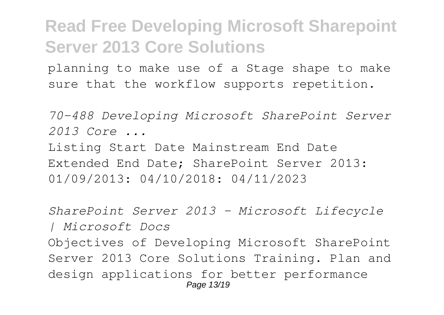planning to make use of a Stage shape to make sure that the workflow supports repetition.

*70-488 Developing Microsoft SharePoint Server 2013 Core ...*

Listing Start Date Mainstream End Date Extended End Date; SharePoint Server 2013: 01/09/2013: 04/10/2018: 04/11/2023

*SharePoint Server 2013 - Microsoft Lifecycle | Microsoft Docs* Objectives of Developing Microsoft SharePoint Server 2013 Core Solutions Training. Plan and design applications for better performance Page 13/19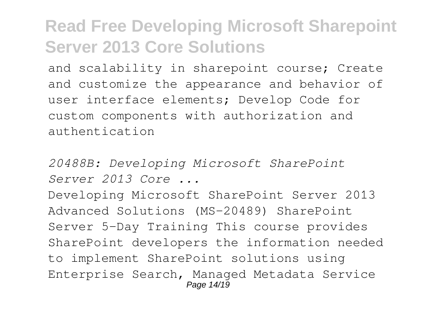and scalability in sharepoint course; Create and customize the appearance and behavior of user interface elements; Develop Code for custom components with authorization and authentication

*20488B: Developing Microsoft SharePoint Server 2013 Core ...*

Developing Microsoft SharePoint Server 2013 Advanced Solutions (MS-20489) SharePoint Server 5-Day Training This course provides SharePoint developers the information needed to implement SharePoint solutions using Enterprise Search, Managed Metadata Service Page 14/19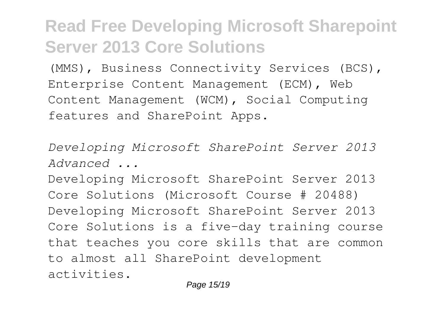(MMS), Business Connectivity Services (BCS), Enterprise Content Management (ECM), Web Content Management (WCM), Social Computing features and SharePoint Apps.

*Developing Microsoft SharePoint Server 2013 Advanced ...*

Developing Microsoft SharePoint Server 2013 Core Solutions (Microsoft Course # 20488) Developing Microsoft SharePoint Server 2013 Core Solutions is a five-day training course that teaches you core skills that are common to almost all SharePoint development activities.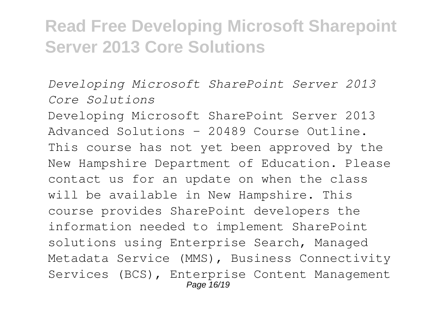*Developing Microsoft SharePoint Server 2013 Core Solutions*

Developing Microsoft SharePoint Server 2013 Advanced Solutions - 20489 Course Outline. This course has not yet been approved by the New Hampshire Department of Education. Please contact us for an update on when the class will be available in New Hampshire. This course provides SharePoint developers the information needed to implement SharePoint solutions using Enterprise Search, Managed Metadata Service (MMS), Business Connectivity Services (BCS), Enterprise Content Management Page 16/19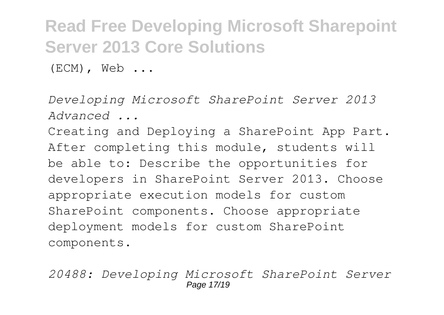(ECM), Web ...

*Developing Microsoft SharePoint Server 2013 Advanced ...*

Creating and Deploying a SharePoint App Part. After completing this module, students will be able to: Describe the opportunities for developers in SharePoint Server 2013. Choose appropriate execution models for custom SharePoint components. Choose appropriate deployment models for custom SharePoint components.

*20488: Developing Microsoft SharePoint Server* Page 17/19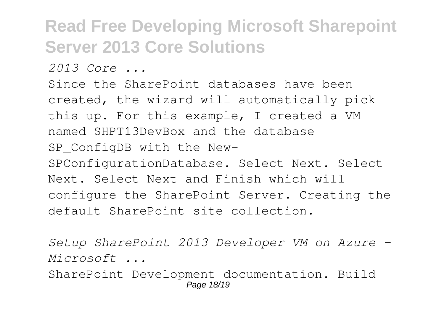*2013 Core ...*

Since the SharePoint databases have been created, the wizard will automatically pick this up. For this example, I created a VM named SHPT13DevBox and the database SP ConfigDB with the New-SPConfigurationDatabase. Select Next. Select Next. Select Next and Finish which will configure the SharePoint Server. Creating the default SharePoint site collection.

*Setup SharePoint 2013 Developer VM on Azure - Microsoft ...*

SharePoint Development documentation. Build Page 18/19